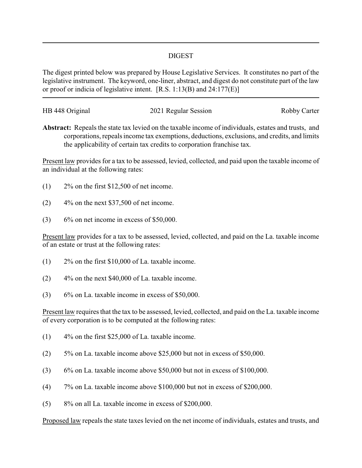## DIGEST

The digest printed below was prepared by House Legislative Services. It constitutes no part of the legislative instrument. The keyword, one-liner, abstract, and digest do not constitute part of the law or proof or indicia of legislative intent. [R.S. 1:13(B) and 24:177(E)]

| HB 448 Original | 2021 Regular Session | Robby Carter |
|-----------------|----------------------|--------------|
|                 |                      |              |

**Abstract:** Repeals the state tax levied on the taxable income of individuals, estates and trusts, and corporations, repeals income tax exemptions, deductions, exclusions, and credits, and limits the applicability of certain tax credits to corporation franchise tax.

Present law provides for a tax to be assessed, levied, collected, and paid upon the taxable income of an individual at the following rates:

- $(1)$  2\% on the first \$12,500 of net income.
- $(2)$  4% on the next \$37,500 of net income.
- $(3)$  6% on net income in excess of \$50,000.

Present law provides for a tax to be assessed, levied, collected, and paid on the La. taxable income of an estate or trust at the following rates:

- (1) 2% on the first \$10,000 of La. taxable income.
- (2) 4% on the next \$40,000 of La. taxable income.
- $(3)$  6% on La. taxable income in excess of \$50,000.

Present law requires that the tax to be assessed, levied, collected, and paid on the La. taxable income of every corporation is to be computed at the following rates:

- $(1)$  4% on the first \$25,000 of La. taxable income.
- (2) 5% on La. taxable income above \$25,000 but not in excess of \$50,000.
- (3) 6% on La. taxable income above \$50,000 but not in excess of \$100,000.
- (4) 7% on La. taxable income above \$100,000 but not in excess of \$200,000.
- (5) 8% on all La. taxable income in excess of \$200,000.

Proposed law repeals the state taxes levied on the net income of individuals, estates and trusts, and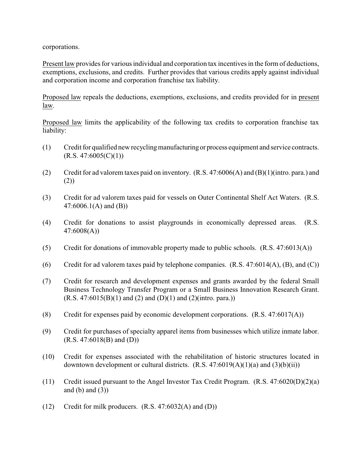corporations.

Present law provides for various individual and corporation tax incentives in the form of deductions, exemptions, exclusions, and credits. Further provides that various credits apply against individual and corporation income and corporation franchise tax liability.

Proposed law repeals the deductions, exemptions, exclusions, and credits provided for in present law.

Proposed law limits the applicability of the following tax credits to corporation franchise tax liability:

- (1) Credit for qualified new recyclingmanufacturingor process equipment and service contracts.  $(R.S. 47:6005(C)(1))$
- (2) Credit for ad valorem taxes paid on inventory. (R.S. 47:6006(A) and (B)(1)(intro. para.) and (2))
- (3) Credit for ad valorem taxes paid for vessels on Outer Continental Shelf Act Waters. (R.S. 47:6006.1(A) and (B))
- (4) Credit for donations to assist playgrounds in economically depressed areas. (R.S. 47:6008(A))
- (5) Credit for donations of immovable property made to public schools. (R.S. 47:6013(A))
- (6) Credit for ad valorem taxes paid by telephone companies.  $(R.S. 47:6014(A), (B), and (C))$
- (7) Credit for research and development expenses and grants awarded by the federal Small Business Technology Transfer Program or a Small Business Innovation Research Grant.  $(R.S. 47:6015(B)(1)$  and  $(2)$  and  $(D)(1)$  and  $(2)($ intro. para.))
- (8) Credit for expenses paid by economic development corporations. (R.S. 47:6017(A))
- (9) Credit for purchases of specialty apparel items from businesses which utilize inmate labor. (R.S. 47:6018(B) and (D))
- (10) Credit for expenses associated with the rehabilitation of historic structures located in downtown development or cultural districts.  $(R.S. 47:6019(A)(1)(a)$  and  $(3)(b)(ii))$
- (11) Credit issued pursuant to the Angel Investor Tax Credit Program. (R.S. 47:6020(D)(2)(a) and  $(b)$  and  $(3)$ )
- (12) Credit for milk producers. (R.S. 47:6032(A) and (D))